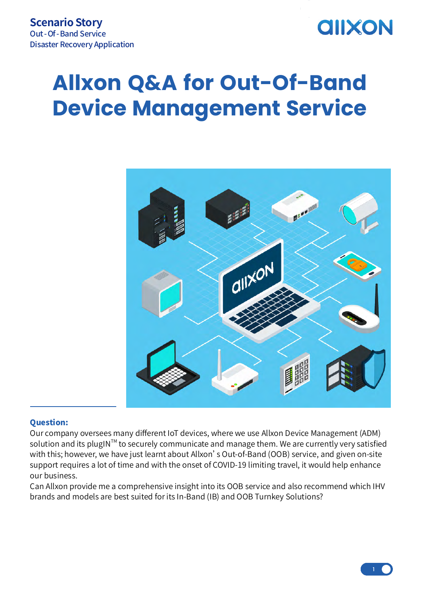## **AIIXON**

## **Allxon Q&A for Out-Of-Band Device Management Service**



## Question:

Our company oversees many different IoT devices, where we use Allxon Device Management (ADM) solution and its plugIN™ to securely communicate and manage them. We are currently very satisfied with this; however, we have just learnt about Allxon's Out-of-Band (OOB) service, and given on-site support requires a lot of time and with the onset of COVID-19 limiting travel, it would help enhance our business.

Can Allxon provide me a comprehensive insight into its OOB service and also recommend which IHV brands and models are best suited for its In-Band (IB) and OOB Turnkey Solutions?